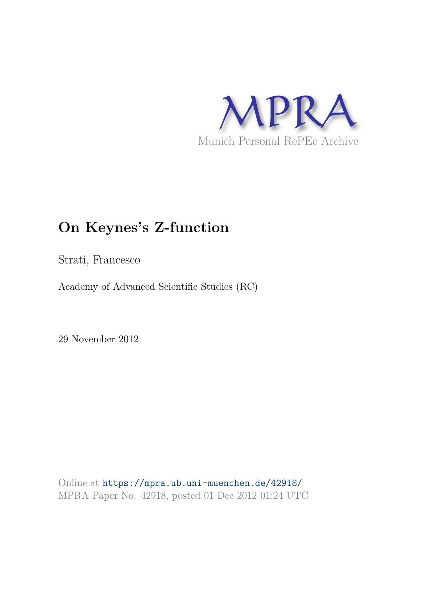

# **On Keynes's Z-function**

Strati, Francesco

Academy of Advanced Scientific Studies (RC)

29 November 2012

Online at https://mpra.ub.uni-muenchen.de/42918/ MPRA Paper No. 42918, posted 01 Dec 2012 01:24 UTC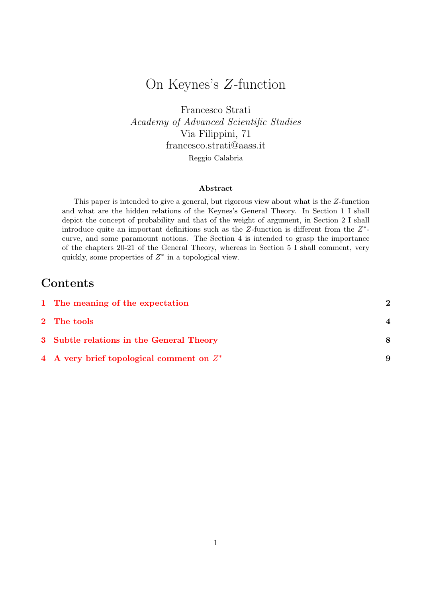## On Keynes's Z-function

Francesco Strati Academy of Advanced Scientific Studies Via Filippini, 71 francesco.strati@aass.it

Reggio Calabria

#### Abstract

This paper is intended to give a general, but rigorous view about what is the Z-function and what are the hidden relations of the Keynes's General Theory. In Section 1 I shall depict the concept of probability and that of the weight of argument, in Section 2 I shall introduce quite an important definitions such as the  $Z$ -function is different from the  $Z^*$ curve, and some paramount notions. The Section 4 is intended to grasp the importance of the chapters 20-21 of the General Theory, whereas in Section 5 I shall comment, very quickly, some properties of  $Z^*$  in a topological view.

## **Contents**

| 1 The meaning of the expectation            | 2 |
|---------------------------------------------|---|
| 2 The tools                                 |   |
| 3 Subtle relations in the General Theory    | 8 |
| 4 A very brief topological comment on $Z^*$ | 9 |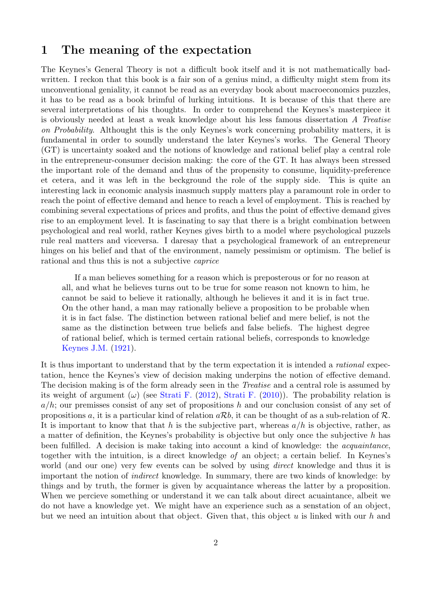#### 1 The meaning of the expectation

The Keynes's General Theory is not a difficult book itself and it is not mathematically badwritten. I reckon that this book is a fair son of a genius mind, a difficulty might stem from its unconventional geniality, it cannot be read as an everyday book about macroeconomics puzzles, it has to be read as a book brimful of lurking intuitions. It is because of this that there are several interpretations of his thoughts. In order to comprehend the Keynes's masterpiece it is obviously needed at least a weak knowledge about his less famous dissertation A Treatise on Probability. Althought this is the only Keynes's work concerning probability matters, it is fundamental in order to soundly understand the later Keynes's works. The General Theory (GT) is uncertainty soaked and the notions of knowledge and rational belief play a central role in the entrepreneur-consumer decision making: the core of the GT. It has always been stressed the important role of the demand and thus of the propensity to consume, liquidity-preference et cetera, and it was left in the beckground the role of the supply side. This is quite an interesting lack in economic analysis inasmuch supply matters play a paramount role in order to reach the point of effective demand and hence to reach a level of employment. This is reached by combining several expectations of prices and profits, and thus the point of effective demand gives rise to an employment level. It is fascinating to say that there is a bright combination between psychological and real world, rather Keynes gives birth to a model where psychological puzzels rule real matters and viceversa. I daresay that a psychological framework of an entrepreneur hinges on his belief and that of the environment, namely pessimism or optimism. The belief is rational and thus this is not a subjective caprice

If a man believes something for a reason which is preposterous or for no reason at all, and what he believes turns out to be true for some reason not known to him, he cannot be said to believe it rationally, although he believes it and it is in fact true. On the other hand, a man may rationally believe a proposition to be probable when it is in fact false. The distinction between rational belief and mere belief, is not the same as the distinction between true beliefs and false beliefs. The highest degree of rational belief, which is termed certain rational beliefs, corresponds to knowledge Keynes J.M. (1921).

It is thus important to understand that by the term expectation it is intended a rational expectation, hence the Keynes's view of decision making underpins the notion of effective demand. The decision making is of the form already seen in the *Treatise* and a central role is assumed by its weight of argument  $(\omega)$  (see Strati F. (2012), Strati F. (2010)). The probability relation is  $a/h$ ; our premisses consist of any set of propositions h and our conclusion consist of any set of propositions a, it is a particular kind of relation  $a\mathcal{R}b$ , it can be thought of as a sub-relation of  $\mathcal{R}$ . It is important to know that that h is the subjective part, whereas  $a/h$  is objective, rather, as a matter of definition, the Keynes's probability is objective but only once the subjective h has been fulfilled. A decision is make taking into account a kind of knowledge: the acquaintance, together with the intuition, is a direct knowledge of an object; a certain belief. In Keynes's world (and our one) very few events can be solved by using *direct* knowledge and thus it is important the notion of indirect knowledge. In summary, there are two kinds of knowledge: by things and by truth, the former is given by acquaintance whereas the latter by a proposition. When we percieve something or understand it we can talk about direct acuaintance, albeit we do not have a knowledge yet. We might have an experience such as a senstation of an object, but we need an intuition about that object. Given that, this object  $u$  is linked with our  $h$  and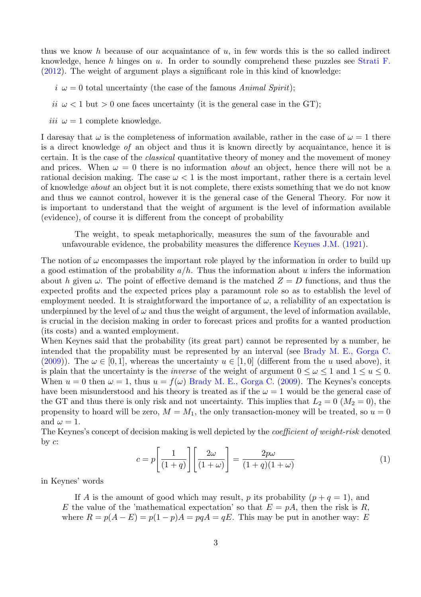thus we know h because of our acquaintance of  $u$ , in few words this is the so called indirect knowledge, hence h hinges on u. In order to soundly comprehend these puzzles see Strati F. (2012). The weight of argument plays a significant role in this kind of knowledge:

 $i \omega = 0$  total uncertainty (the case of the famous Animal Spirit);

- ii  $\omega < 1$  but  $> 0$  one faces uncertainty (it is the general case in the GT);
- iii  $\omega = 1$  complete knowledge.

I daresay that  $\omega$  is the completeness of information available, rather in the case of  $\omega = 1$  there is a direct knowledge of an object and thus it is known directly by acquaintance, hence it is certain. It is the case of the classical quantitative theory of money and the movement of money and prices. When  $\omega = 0$  there is no information *about* an object, hence there will not be a rational decision making. The case  $\omega < 1$  is the most important, rather there is a certain level of knowledge about an object but it is not complete, there exists something that we do not know and thus we cannot control, however it is the general case of the General Theory. For now it is important to understand that the weight of argument is the level of information available (evidence), of course it is different from the concept of probability

The weight, to speak metaphorically, measures the sum of the favourable and unfavourable evidence, the probability measures the difference Keynes J.M. (1921).

The notion of  $\omega$  encompasses the important role played by the information in order to build up a good estimation of the probability  $a/h$ . Thus the information about u infers the information about h given  $\omega$ . The point of effective demand is the matched  $Z = D$  functions, and thus the expected profits and the expected prices play a paramount role so as to establish the level of employment needed. It is straightforward the importance of  $\omega$ , a reliability of an expectation is underpinned by the level of  $\omega$  and thus the weight of argument, the level of information available, is crucial in the decision making in order to forecast prices and profits for a wanted production (its costs) and a wanted employment.

When Keynes said that the probability (its great part) cannot be represented by a number, he intended that the propability must be represented by an interval (see Brady M. E., Gorga C. (2009)). The  $\omega \in [0, 1]$ , whereas the uncertainty  $u \in [1, 0]$  (different from the u used above), it is plain that the uncertainty is the *inverse* of the weight of argument  $0 \leq \omega \leq 1$  and  $1 \leq u \leq 0$ . When  $u = 0$  then  $\omega = 1$ , thus  $u = f(\omega)$  Brady M. E., Gorga C. (2009). The Keynes's concepts have been misunderstood and his theory is treated as if the  $\omega = 1$  would be the general case of the GT and thus there is only risk and not uncertainty. This implies that  $L_2 = 0$  ( $M_2 = 0$ ), the propensity to hoard will be zero,  $M = M_1$ , the only transaction-money will be treated, so  $u = 0$ and  $\omega = 1$ .

The Keynes's concept of decision making is well depicted by the coefficient of weight-risk denoted by  $c$ :

$$
c = p \left[ \frac{1}{(1+q)} \right] \left[ \frac{2\omega}{(1+\omega)} \right] = \frac{2p\omega}{(1+q)(1+\omega)} \tag{1}
$$

in Keynes' words

If A is the amount of good which may result, p its probability  $(p+q=1)$ , and E the value of the 'mathematical expectation' so that  $E = pA$ , then the risk is R, where  $R = p(A - E) = p(1 - p)A = pqA = qE$ . This may be put in another way: E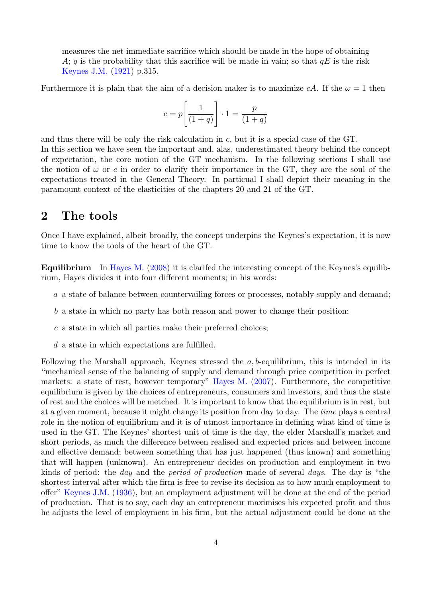measures the net immediate sacrifice which should be made in the hope of obtaining A; q is the probability that this sacrifice will be made in vain; so that  $qE$  is the risk Keynes J.M. (1921) p.315.

Furthermore it is plain that the aim of a decision maker is to maximize cA. If the  $\omega = 1$  then

$$
c = p \left[ \frac{1}{(1+q)} \right] \cdot 1 = \frac{p}{(1+q)}
$$

and thus there will be only the risk calculation in  $c$ , but it is a special case of the GT. In this section we have seen the important and, alas, underestimated theory behind the concept of expectation, the core notion of the GT mechanism. In the following sections I shall use the notion of  $\omega$  or c in order to clarify their importance in the GT, they are the soul of the expectations treated in the General Theory. In particual I shall depict their meaning in the paramount context of the elasticities of the chapters 20 and 21 of the GT.

### 2 The tools

Once I have explained, albeit broadly, the concept underpins the Keynes's expectation, it is now time to know the tools of the heart of the GT.

Equilibrium In Hayes M. (2008) it is clarifed the interesting concept of the Keynes's equilibrium, Hayes divides it into four different moments; in his words:

- a a state of balance between countervailing forces or processes, notably supply and demand;
- b a state in which no party has both reason and power to change their position;
- c a state in which all parties make their preferred choices;
- d a state in which expectations are fulfilled.

Following the Marshall approach, Keynes stressed the  $a, b$ -equilibrium, this is intended in its "mechanical sense of the balancing of supply and demand through price competition in perfect markets: a state of rest, however temporary" Hayes M. (2007). Furthermore, the competitive equilibrium is given by the choices of entrepreneurs, consumers and investors, and thus the state of rest and the choices will be metched. It is important to know that the equilibrium is in rest, but at a given moment, because it might change its position from day to day. The time plays a central role in the notion of equilibrium and it is of utmost importance in defining what kind of time is used in the GT. The Keynes' shortest unit of time is the day, the elder Marshall's market and short periods, as much the difference between realised and expected prices and between income and effective demand; between something that has just happened (thus known) and something that will happen (unknown). An entrepreneur decides on production and employment in two kinds of period: the day and the period of production made of several days. The day is "the shortest interval after which the firm is free to revise its decision as to how much employment to offer" Keynes J.M. (1936), but an employment adjustment will be done at the end of the period of production. That is to say, each day an entrepreneur maximises his expected profit and thus he adjusts the level of employment in his firm, but the actual adjustment could be done at the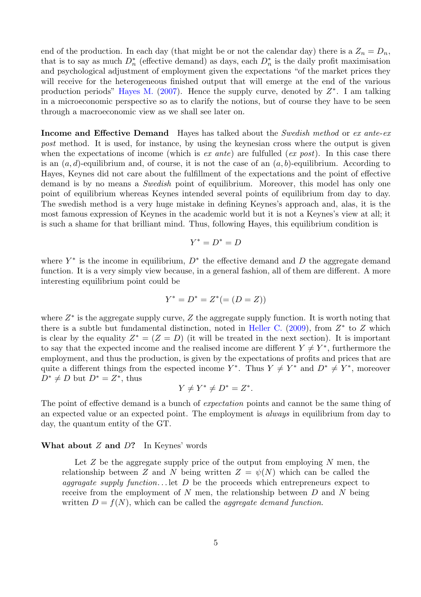end of the production. In each day (that might be or not the calendar day) there is a  $Z_n = D_n$ , that is to say as much  $D_n^*$  (effective demand) as days, each  $D_n^*$  is the daily profit maximisation and psychological adjustment of employment given the expectations "of the market prices they will receive for the heterogeneous finished output that will emerge at the end of the various production periods" Hayes M. (2007). Hence the supply curve, denoted by  $Z^*$ . I am talking in a microeconomic perspective so as to clarify the notions, but of course they have to be seen through a macroeconomic view as we shall see later on.

Income and Effective Demand Hayes has talked about the *Swedish method* or ex ante-ex post method. It is used, for instance, by using the keynesian cross where the output is given when the expectations of income (which is ex ante) are fulfulled (ex post). In this case there is an  $(a, d)$ -equilibrium and, of course, it is not the case of an  $(a, b)$ -equilibrium. According to Hayes, Keynes did not care about the fulfillment of the expectations and the point of effective demand is by no means a *Swedish* point of equilibrium. Moreover, this model has only one point of equilibrium whereas Keynes intended several points of equilibrium from day to day. The swedish method is a very huge mistake in defining Keynes's approach and, alas, it is the most famous expression of Keynes in the academic world but it is not a Keynes's view at all; it is such a shame for that brilliant mind. Thus, following Hayes, this equilibrium condition is

$$
Y^*=D^*=D
$$

where  $Y^*$  is the income in equilibrium,  $D^*$  the effective demand and D the aggregate demand function. It is a very simply view because, in a general fashion, all of them are different. A more interesting equilibrium point could be

$$
Y^* = D^* = Z^* (= (D = Z))
$$

where  $Z^*$  is the aggregate supply curve,  $Z$  the aggregate supply function. It is worth noting that there is a subtle but fundamental distinction, noted in Heller C. (2009), from  $Z^*$  to  $Z$  which is clear by the equality  $Z^* = (Z = D)$  (it will be treated in the next section). It is important to say that the expected income and the realised income are different  $Y \neq Y^*$ , furthermore the employment, and thus the production, is given by the expectations of profits and prices that are quite a different things from the espected income  $Y^*$ . Thus  $Y \neq Y^*$  and  $D^* \neq Y^*$ , moreover  $D^* \neq D$  but  $D^* = Z^*$ , thus

$$
Y \neq Y^* \neq D^* = Z^*.
$$

The point of effective demand is a bunch of *expectation* points and cannot be the same thing of an expected value or an expected point. The employment is always in equilibrium from day to day, the quantum entity of the GT.

#### What about  $Z$  and  $D$ ? In Keynes' words

Let  $Z$  be the aggregate supply price of the output from employing  $N$  men, the relationship between Z and N being written  $Z = \psi(N)$  which can be called the *aggragate supply function...* let  $D$  be the proceeds which entrepreneurs expect to receive from the employment of  $N$  men, the relationship between  $D$  and  $N$  being written  $D = f(N)$ , which can be called the *aggregate demand function*.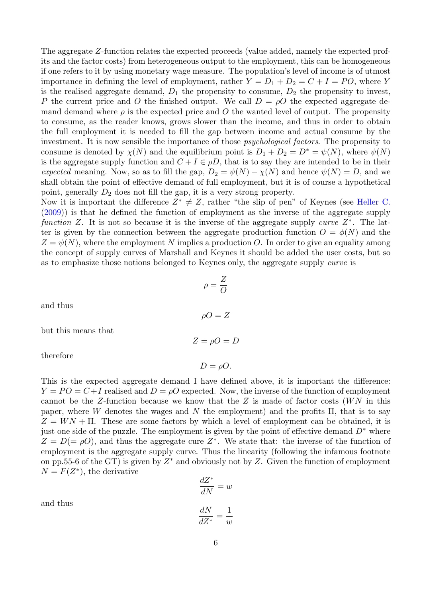The aggregate Z-function relates the expected proceeds (value added, namely the expected profits and the factor costs) from heterogeneous output to the employment, this can be homogeneous if one refers to it by using monetary wage measure. The population's level of income is of utmost importance in defining the level of employment, rather  $Y = D_1 + D_2 = C + I = PO$ , where Y is the realised aggregate demand,  $D_1$  the propensity to consume,  $D_2$  the propensity to invest, P the current price and O the finished output. We call  $D = \rho O$  the expected aggregate demand demand where  $\rho$  is the expected price and O the wanted level of output. The propensity to consume, as the reader knows, grows slower than the income, and thus in order to obtain the full employment it is needed to fill the gap between income and actual consume by the investment. It is now sensible the importance of those psychological factors. The propensity to consume is denoted by  $\chi(N)$  and the equilibrium point is  $D_1 + D_2 = D^* = \psi(N)$ , where  $\psi(N)$ is the aggregate supply function and  $C + I \in \rho D$ , that is to say they are intended to be in their expected meaning. Now, so as to fill the gap,  $D_2 = \psi(N) - \chi(N)$  and hence  $\psi(N) = D$ , and we shall obtain the point of effective demand of full employment, but it is of course a hypothetical point, generally  $D_2$  does not fill the gap, it is a very strong property.

Now it is important the difference  $Z^* \neq Z$ , rather "the slip of pen" of Keynes (see Heller C. (2009)) is that he defined the function of employment as the inverse of the aggregate supply function Z. It is not so because it is the inverse of the aggregate supply curve  $Z^*$ . The latter is given by the connection between the aggregate production function  $O = \phi(N)$  and the  $Z = \psi(N)$ , where the employment N implies a production O. In order to give an equality among the concept of supply curves of Marshall and Keynes it should be added the user costs, but so as to emphasize those notions belonged to Keynes only, the aggregate supply curve is

$$
\rho = \frac{Z}{O}
$$

$$
\rho O = Z
$$

$$
Z = \rho O = D
$$

therefore

but this means that

and thus

This is the expected aggregate demand I have defined above, it is important the difference:  $Y = PO = C + I$  realised and  $D = \rho O$  expected. Now, the inverse of the function of employment cannot be the Z-function because we know that the Z is made of factor costs  $(W N)$  in this paper, where W denotes the wages and N the employment) and the profits  $\Pi$ , that is to say  $Z = WN + \Pi$ . These are some factors by which a level of employment can be obtained, it is just one side of the puzzle. The employment is given by the point of effective demand  $D^*$  where  $Z = D (= \rho O)$ , and thus the aggregate cure  $Z^*$ . We state that: the inverse of the function of employment is the aggregate supply curve. Thus the linearity (following the infamous footnote on pp.55-6 of the GT) is given by  $Z^*$  and obviously not by Z. Given the function of employment  $N = F(Z^*)$ , the derivative

$$
\frac{dZ^*}{dN} = w
$$

$$
\frac{dN}{dZ^*} = \frac{1}{w}
$$

and thus

$$
6 \\
$$

 $\omega$ 

$$
= \rho O = I
$$

 $D = \rho O$ .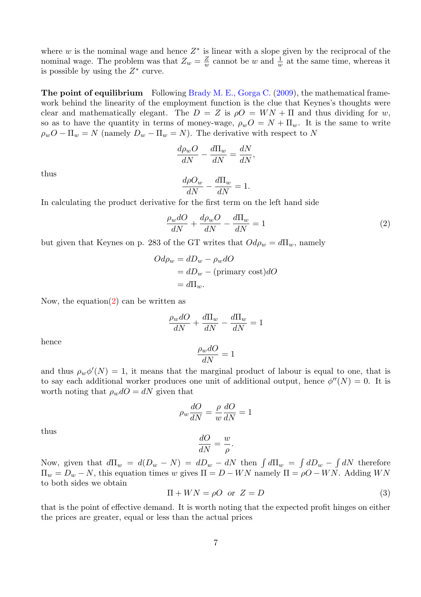where  $w$  is the nominal wage and hence  $Z^*$  is linear with a slope given by the reciprocal of the nominal wage. The problem was that  $Z_w = \frac{Z}{w}$  cannot be w and  $\frac{1}{w}$  at the same time, whereas it is possible by using the  $Z^*$  curve.

The point of equilibrium Following Brady M. E., Gorga C. (2009), the mathematical framework behind the linearity of the employment function is the clue that Keynes's thoughts were clear and mathematically elegant. The  $D = Z$  is  $\rho O = W N + \Pi$  and thus dividing for w, so as to have the quantity in terms of money-wage,  $\rho_wO = N + \Pi_w$ . It is the same to write  $\rho_w O - \Pi_w = N$  (namely  $D_w - \Pi_w = N$ ). The derivative with respect to N

$$
\frac{d\rho_w O}{dN} - \frac{d\Pi_w}{dN} = \frac{dN}{dN},
$$

thus

$$
\frac{d\rho O_w}{dN} - \frac{d\Pi_w}{dN} = 1.
$$

In calculating the product derivative for the first term on the left hand side

$$
\frac{\rho_w dO}{dN} + \frac{d\rho_w O}{dN} - \frac{d\Pi_w}{dN} = 1\tag{2}
$$

but given that Keynes on p. 283 of the GT writes that  $Od\rho_w = d\Pi_w$ , namely

$$
Od\rho_w = dD_w - \rho_w dO
$$
  
=  $dD_w - (\text{primary cost}) dO$   
=  $d\Pi_w$ .

Now, the equation(2) can be written as

$$
\frac{\rho_w dO}{dN} + \frac{d\Pi_w}{dN} - \frac{d\Pi_w}{dN} = 1
$$

hence

$$
\frac{\rho_w dO}{dN}=1
$$

and thus  $\rho_w \phi'(N) = 1$ , it means that the marginal product of labour is equal to one, that is to say each additional worker produces one unit of additional output, hence  $\phi''(N) = 0$ . It is worth noting that  $\rho_w dO = dN$  given that

$$
\rho_w \frac{dO}{dN} = \frac{\rho}{w} \frac{dO}{dN} = 1
$$

thus

$$
\frac{dO}{dN} = \frac{w}{\rho}.
$$

Now, given that  $d\Pi_w = d(D_w - N) = dD_w - dN$  then  $\int d\Pi_w = \int dD_w - \int dN$  therefore  $\Pi_w = D_w - N$ , this equation times w gives  $\Pi = D - W N$  namely  $\Pi = \rho O - W N$ . Adding WN to both sides we obtain

$$
\Pi + WN = \rho O \quad \text{or} \quad Z = D \tag{3}
$$

that is the point of effective demand. It is worth noting that the expected profit hinges on either the prices are greater, equal or less than the actual prices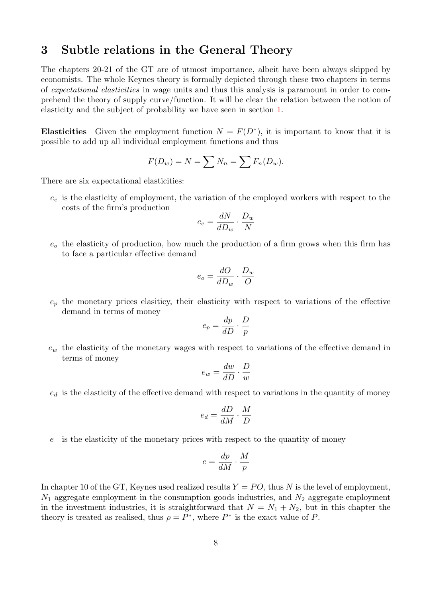#### 3 Subtle relations in the General Theory

The chapters 20-21 of the GT are of utmost importance, albeit have been always skipped by economists. The whole Keynes theory is formally depicted through these two chapters in terms of expectational elasticities in wage units and thus this analysis is paramount in order to comprehend the theory of supply curve/function. It will be clear the relation between the notion of elasticity and the subject of probability we have seen in section 1.

Elasticities Given the employment function  $N = F(D^*)$ , it is important to know that it is possible to add up all individual employment functions and thus

$$
F(D_w) = N = \sum N_n = \sum F_n(D_w).
$$

There are six expectational elasticities:

 $e_e$  is the elasticity of employment, the variation of the employed workers with respect to the costs of the firm's production

$$
e_e = \frac{dN}{dD_w} \cdot \frac{D_w}{N}
$$

 $e<sub>o</sub>$  the elasticity of production, how much the production of a firm grows when this firm has to face a particular effective demand

$$
e_o = \frac{dO}{dD_w} \cdot \frac{D_w}{O}
$$

 $e_p$  the monetary prices elasticity, their elasticity with respect to variations of the effective demand in terms of money

$$
e_p = \frac{dp}{dD} \cdot \frac{D}{p}
$$

 $e_w$  the elasticity of the monetary wages with respect to variations of the effective demand in terms of money

$$
e_w = \frac{dw}{dD} \cdot \frac{D}{w}
$$

 $e_d$  is the elasticity of the effective demand with respect to variations in the quantity of money

$$
e_d = \frac{dD}{dM} \cdot \frac{M}{D}
$$

e is the elasticity of the monetary prices with respect to the quantity of money

$$
e = \frac{dp}{dM} \cdot \frac{M}{p}
$$

In chapter 10 of the GT, Keynes used realized results  $Y = PO$ , thus N is the level of employment,  $N_1$  aggregate employment in the consumption goods industries, and  $N_2$  aggregate employment in the investment industries, it is straightforward that  $N = N_1 + N_2$ , but in this chapter the theory is treated as realised, thus  $\rho = P^*$ , where  $P^*$  is the exact value of P.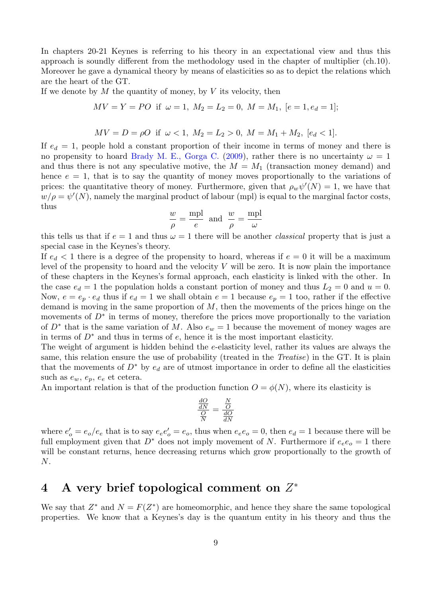In chapters 20-21 Keynes is referring to his theory in an expectational view and thus this approach is soundly different from the methodology used in the chapter of multiplier (ch.10). Moreover he gave a dynamical theory by means of elasticities so as to depict the relations which are the heart of the GT.

If we denote by  $M$  the quantity of money, by  $V$  its velocity, then

$$
MV = Y = PO \text{ if } \omega = 1, M_2 = L_2 = 0, M = M_1, [e = 1, e_d = 1];
$$

$$
MV = D = \rho O \text{ if } \omega < 1, M_2 = L_2 > 0, M = M_1 + M_2, [e_d < 1].
$$

If  $e_d = 1$ , people hold a constant proportion of their income in terms of money and there is no propensity to hoard Brady M. E., Gorga C. (2009), rather there is no uncertainty  $\omega = 1$ and thus there is not any speculative motive, the  $M = M_1$  (transaction money demand) and hence  $e = 1$ , that is to say the quantity of money moves proportionally to the variations of prices: the quantitative theory of money. Furthermore, given that  $\rho_w \psi'(N) = 1$ , we have that  $w/\rho = \psi'(N)$ , namely the marginal product of labour (mpl) is equal to the marginal factor costs, thus

$$
\frac{w}{\rho} = \frac{\text{mpl}}{e} \text{ and } \frac{w}{\rho} = \frac{\text{mpl}}{\omega}
$$

this tells us that if  $e = 1$  and thus  $\omega = 1$  there will be another *classical* property that is just a special case in the Keynes's theory.

If  $e_d < 1$  there is a degree of the propensity to hoard, whereas if  $e = 0$  it will be a maximum level of the propensity to hoard and the velocity  $V$  will be zero. It is now plain the importance of these chapters in the Keynes's formal approach, each elasticity is linked with the other. In the case  $e_d = 1$  the population holds a constant portion of money and thus  $L_2 = 0$  and  $u = 0$ . Now,  $e = e_p \cdot e_d$  thus if  $e_d = 1$  we shall obtain  $e = 1$  because  $e_p = 1$  too, rather if the effective demand is moving in the same proportion of  $M$ , then the movements of the prices hinge on the movements of  $D^*$  in terms of money, therefore the prices move proportionally to the variation of  $D^*$  that is the same variation of M. Also  $e_w = 1$  because the movement of money wages are in terms of  $D^*$  and thus in terms of e, hence it is the most important elasticity.

The weight of argument is hidden behind the e-elasticity level, rather its values are always the same, this relation ensure the use of probability (treated in the Treatise) in the GT. It is plain that the movements of  $D^*$  by  $e_d$  are of utmost importance in order to define all the elasticities such as  $e_w$ ,  $e_p$ ,  $e_e$  et cetera.

An important relation is that of the production function  $O = \phi(N)$ , where its elasticity is

$$
\frac{\frac{dO}{dN}}{\frac{O}{N}} = \frac{\frac{N}{O}}{\frac{dO}{dN}}
$$

where  $e'_{o} = e_{o}/e_{e}$  that is to say  $e_{e}e'_{o} = e_{o}$ , thus when  $e_{e}e_{o} = 0$ , then  $e_{d} = 1$  because there will be full employment given that  $D^*$  does not imply movement of N. Furthermore if  $e_e e_o = 1$  there will be constant returns, hence decreasing returns which grow proportionally to the growth of N.

# 4 A very brief topological comment on  $Z^*$

We say that  $Z^*$  and  $N = F(Z^*)$  are homeomorphic, and hence they share the same topological properties. We know that a Keynes's day is the quantum entity in his theory and thus the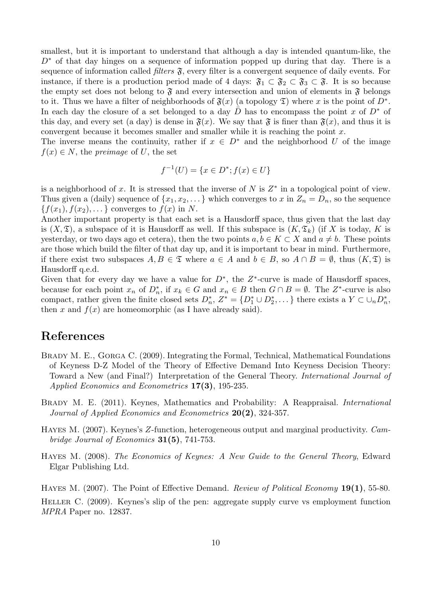smallest, but it is important to understand that although a day is intended quantum-like, the  $D^*$  of that day hinges on a sequence of information popped up during that day. There is a sequence of information called *filters*  $\mathfrak{F}$ , every filter is a convergent sequence of daily events. For instance, if there is a production period made of 4 days:  $\mathfrak{F}_1 \subset \mathfrak{F}_2 \subset \mathfrak{F}_3 \subset \mathfrak{F}$ . It is so because the empty set does not belong to  $\mathfrak F$  and every intersection and union of elements in  $\mathfrak F$  belongs to it. Thus we have a filter of neighborhoods of  $\mathfrak{F}(x)$  (a topology  $\mathfrak{D}$ ) where x is the point of  $D^*$ . In each day the closure of a set belonged to a day D has to encompass the point x of  $D^*$  of this day, and every set (a day) is dense in  $\mathfrak{F}(x)$ . We say that  $\mathfrak{F}$  is finer than  $\mathfrak{F}(x)$ , and thus it is convergent because it becomes smaller and smaller while it is reaching the point x.

The inverse means the continuity, rather if  $x \in D^*$  and the neighborhood U of the image  $f(x) \in N$ , the preimage of U, the set

$$
f^{-1}(U) = \{ x \in D^* ; f(x) \in U \}
$$

is a neighborhood of x. It is stressed that the inverse of  $N$  is  $Z^*$  in a topological point of view. Thus given a (daily) sequence of  $\{x_1, x_2, \ldots\}$  which converges to x in  $Z_n = D_n$ , so the sequence  ${f(x_1), f(x_2), \ldots}$  converges to  $f(x)$  in N.

Another important property is that each set is a Hausdorff space, thus given that the last day is  $(X,\mathfrak{T})$ , a subspace of it is Hausdorff as well. If this subspace is  $(K,\mathfrak{T}_k)$  (if X is today, K is yesterday, or two days ago et cetera), then the two points  $a, b \in K \subset X$  and  $a \neq b$ . These points are those which build the filter of that day up, and it is important to bear in mind. Furthermore, if there exist two subspaces  $A, B \in \mathfrak{T}$  where  $a \in A$  and  $b \in B$ , so  $A \cap B = \emptyset$ , thus  $(K, \mathfrak{T})$  is Hausdorff q.e.d.

Given that for every day we have a value for  $D^*$ , the  $Z^*$ -curve is made of Hausdorff spaces, because for each point  $x_n$  of  $D_n^*$ , if  $x_k \in G$  and  $x_n \in B$  then  $G \cap B = \emptyset$ . The  $Z^*$ -curve is also compact, rather given the finite closed sets  $D_n^*, Z^* = \{D_1^* \cup D_2^*, \dots\}$  there exists a  $Y \subset \cup_n D_n^*$ , then x and  $f(x)$  are homeomorphic (as I have already said).

## References

- BRADY M. E., GORGA C. (2009). Integrating the Formal, Technical, Mathematical Foundations of Keyness D-Z Model of the Theory of Effective Demand Into Keyness Decision Theory: Toward a New (and Final?) Interpretation of the General Theory. International Journal of Applied Economics and Econometrics 17(3), 195-235.
- Brady M. E. (2011). Keynes, Mathematics and Probability: A Reappraisal. International Journal of Applied Economics and Econometrics 20(2), 324-357.
- Hayes M. (2007). Keynes's Z-function, heterogeneous output and marginal productivity. Cambridge Journal of Economics 31(5), 741-753.
- Hayes M. (2008). The Economics of Keynes: A New Guide to the General Theory, Edward Elgar Publishing Ltd.

HAYES M. (2007). The Point of Effective Demand. Review of Political Economy 19(1), 55-80.

Heller C. (2009). Keynes's slip of the pen: aggregate supply curve vs employment function MPRA Paper no. 12837.